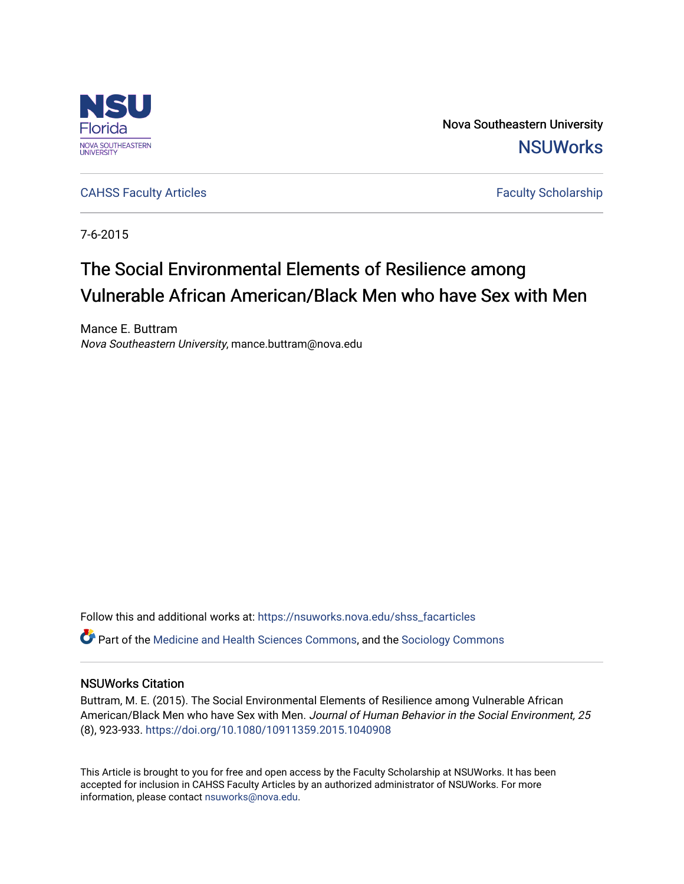

Nova Southeastern University **NSUWorks** 

[CAHSS Faculty Articles](https://nsuworks.nova.edu/shss_facarticles) **Faculty Articles** Faculty Scholarship

7-6-2015

# The Social Environmental Elements of Resilience among Vulnerable African American/Black Men who have Sex with Men

Mance E. Buttram Nova Southeastern University, mance.buttram@nova.edu

Follow this and additional works at: [https://nsuworks.nova.edu/shss\\_facarticles](https://nsuworks.nova.edu/shss_facarticles?utm_source=nsuworks.nova.edu%2Fshss_facarticles%2F234&utm_medium=PDF&utm_campaign=PDFCoverPages) 

Part of the [Medicine and Health Sciences Commons,](http://network.bepress.com/hgg/discipline/648?utm_source=nsuworks.nova.edu%2Fshss_facarticles%2F234&utm_medium=PDF&utm_campaign=PDFCoverPages) and the [Sociology Commons](http://network.bepress.com/hgg/discipline/416?utm_source=nsuworks.nova.edu%2Fshss_facarticles%2F234&utm_medium=PDF&utm_campaign=PDFCoverPages) 

### NSUWorks Citation

Buttram, M. E. (2015). The Social Environmental Elements of Resilience among Vulnerable African American/Black Men who have Sex with Men. Journal of Human Behavior in the Social Environment, 25 (8), 923-933. <https://doi.org/10.1080/10911359.2015.1040908>

This Article is brought to you for free and open access by the Faculty Scholarship at NSUWorks. It has been accepted for inclusion in CAHSS Faculty Articles by an authorized administrator of NSUWorks. For more information, please contact [nsuworks@nova.edu.](mailto:nsuworks@nova.edu)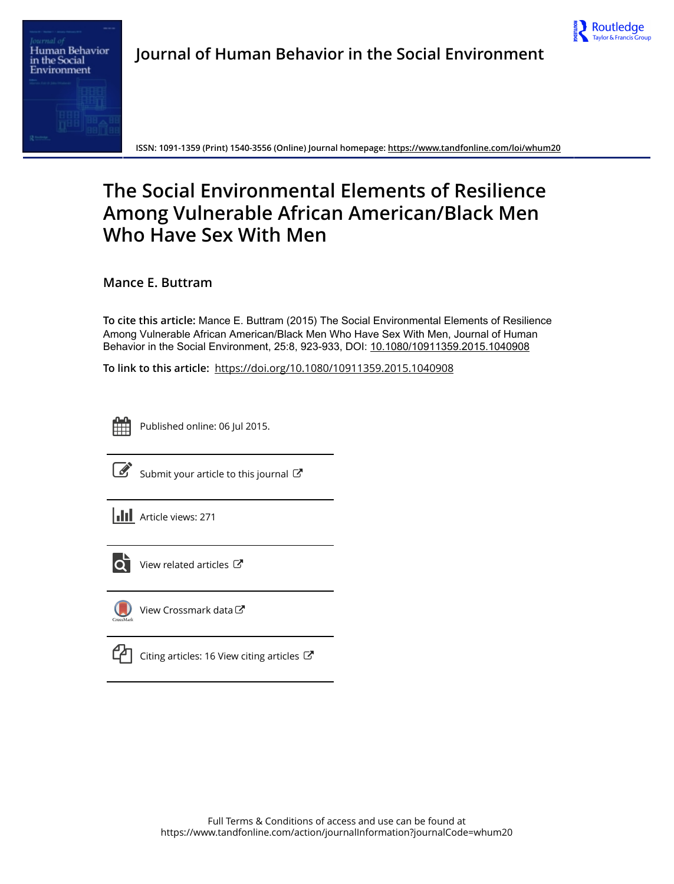



**ISSN: 1091-1359 (Print) 1540-3556 (Online) Journal homepage:<https://www.tandfonline.com/loi/whum20>**

# **The Social Environmental Elements of Resilience Among Vulnerable African American/Black Men Who Have Sex With Men**

**Mance E. Buttram**

**To cite this article:** Mance E. Buttram (2015) The Social Environmental Elements of Resilience Among Vulnerable African American/Black Men Who Have Sex With Men, Journal of Human Behavior in the Social Environment, 25:8, 923-933, DOI: [10.1080/10911359.2015.1040908](https://www.tandfonline.com/action/showCitFormats?doi=10.1080/10911359.2015.1040908)

**To link to this article:** <https://doi.org/10.1080/10911359.2015.1040908>

Published online: 06 Jul 2015.



 $\overrightarrow{S}$  [Submit your article to this journal](https://www.tandfonline.com/action/authorSubmission?journalCode=whum20&show=instructions)  $\overrightarrow{S}$ 





 $\overline{\mathbf{C}}$  [View related articles](https://www.tandfonline.com/doi/mlt/10.1080/10911359.2015.1040908)  $\mathbf{C}$ 



[View Crossmark data](http://crossmark.crossref.org/dialog/?doi=10.1080/10911359.2015.1040908&domain=pdf&date_stamp=2015-07-06)

[Citing articles: 16 View citing articles](https://www.tandfonline.com/doi/citedby/10.1080/10911359.2015.1040908#tabModule)  $\mathbb{Z}$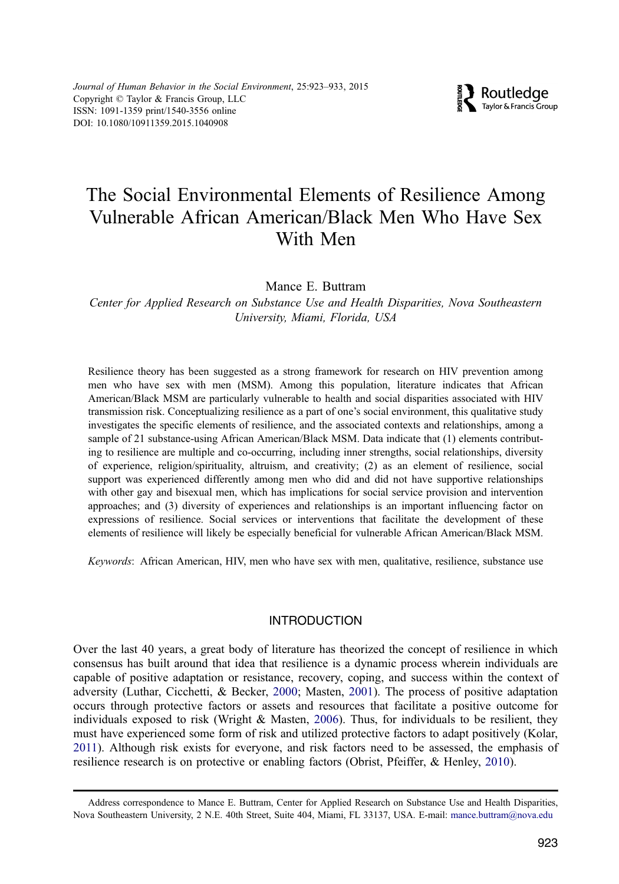Journal of Human Behavior in the Social Environment, 25:923–933, 2015 Copyright © Taylor & Francis Group, LLC ISSN: 1091-1359 print/1540-3556 online DOI: 10.1080/10911359.2015.1040908

### The Social Environmental Elements of Resilience Among Vulnerable African American/Black Men Who Have Sex With Men

Mance E. Buttram

Center for Applied Research on Substance Use and Health Disparities, Nova Southeastern University, Miami, Florida, USA

Resilience theory has been suggested as a strong framework for research on HIV prevention among men who have sex with men (MSM). Among this population, literature indicates that African American/Black MSM are particularly vulnerable to health and social disparities associated with HIV transmission risk. Conceptualizing resilience as a part of one's social environment, this qualitative study investigates the specific elements of resilience, and the associated contexts and relationships, among a sample of 21 substance-using African American/Black MSM. Data indicate that (1) elements contributing to resilience are multiple and co-occurring, including inner strengths, social relationships, diversity of experience, religion/spirituality, altruism, and creativity; (2) as an element of resilience, social support was experienced differently among men who did and did not have supportive relationships with other gay and bisexual men, which has implications for social service provision and intervention approaches; and (3) diversity of experiences and relationships is an important influencing factor on expressions of resilience. Social services or interventions that facilitate the development of these elements of resilience will likely be especially beneficial for vulnerable African American/Black MSM.

Keywords: African American, HIV, men who have sex with men, qualitative, resilience, substance use

#### INTRODUCTION

Over the last 40 years, a great body of literature has theorized the concept of resilience in which consensus has built around that idea that resilience is a dynamic process wherein individuals are capable of positive adaptation or resistance, recovery, coping, and success within the context of adversity (Luthar, Cicchetti, & Becker, [2000](#page-12-0); Masten, [2001](#page-12-0)). The process of positive adaptation occurs through protective factors or assets and resources that facilitate a positive outcome for individuals exposed to risk (Wright & Masten, [2006\)](#page-12-0). Thus, for individuals to be resilient, they must have experienced some form of risk and utilized protective factors to adapt positively (Kolar, [2011](#page-12-0)). Although risk exists for everyone, and risk factors need to be assessed, the emphasis of resilience research is on protective or enabling factors (Obrist, Pfeiffer, & Henley, [2010\)](#page-12-0).

Address correspondence to Mance E. Buttram, Center for Applied Research on Substance Use and Health Disparities, Nova Southeastern University, 2 N.E. 40th Street, Suite 404, Miami, FL 33137, USA. E-mail: [mance.buttram@nova.edu](mailto:mance.buttram@nova.edu)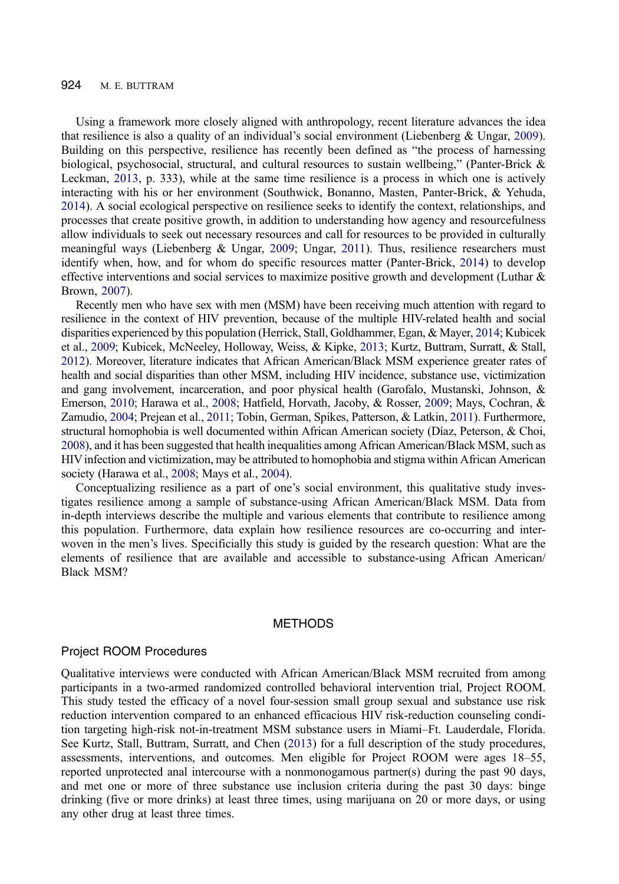Using a framework more closely aligned with anthropology, recent literature advances the idea that resilience is also a quality of an individual's social environment (Liebenberg  $&$  Ungar, [2009\)](#page-12-0). Building on this perspective, resilience has recently been defined as "the process of harnessing biological, psychosocial, structural, and cultural resources to sustain wellbeing," (Panter-Brick & Leckman, [2013,](#page-12-0) p. 333), while at the same time resilience is a process in which one is actively interacting with his or her environment (Southwick, Bonanno, Masten, Panter-Brick, & Yehuda, [2014\)](#page-12-0). A social ecological perspective on resilience seeks to identify the context, relationships, and processes that create positive growth, in addition to understanding how agency and resourcefulness allow individuals to seek out necessary resources and call for resources to be provided in culturally meaningful ways (Liebenberg & Ungar, [2009;](#page-12-0) Ungar, [2011\)](#page-12-0). Thus, resilience researchers must identify when, how, and for whom do specific resources matter (Panter-Brick, [2014](#page-12-0)) to develop effective interventions and social services to maximize positive growth and development (Luthar & Brown, [2007\)](#page-12-0).

Recently men who have sex with men (MSM) have been receiving much attention with regard to resilience in the context of HIV prevention, because of the multiple HIV-related health and social disparities experienced by this population (Herrick, Stall, Goldhammer, Egan, & Mayer, [2014;](#page-12-0) Kubicek et al., [2009;](#page-12-0) Kubicek, McNeeley, Holloway, Weiss, & Kipke, [2013;](#page-12-0) Kurtz, Buttram, Surratt, & Stall, [2012](#page-12-0)). Moreover, literature indicates that African American/Black MSM experience greater rates of health and social disparities than other MSM, including HIV incidence, substance use, victimization and gang involvement, incarceration, and poor physical health (Garofalo, Mustanski, Johnson, & Emerson, [2010](#page-11-0); Harawa et al., [2008](#page-12-0); Hatfield, Horvath, Jacoby, & Rosser, [2009;](#page-12-0) Mays, Cochran, & Zamudio, [2004](#page-12-0); Prejean et al., [2011;](#page-12-0) Tobin, German, Spikes, Patterson, & Latkin, [2011\)](#page-12-0). Furthermore, structural homophobia is well documented within African American society (Díaz, Peterson, & Choi, [2008](#page-11-0)), and it has been suggested that health inequalities among African American/Black MSM, such as HIVinfection and victimization, may be attributed to homophobia and stigma within African American society (Harawa et al., [2008](#page-12-0); Mays et al., [2004](#page-12-0)).

Conceptualizing resilience as a part of one's social environment, this qualitative study investigates resilience among a sample of substance-using African American/Black MSM. Data from in-depth interviews describe the multiple and various elements that contribute to resilience among this population. Furthermore, data explain how resilience resources are co-occurring and interwoven in the men's lives. Specificially this study is guided by the research question: What are the elements of resilience that are available and accessible to substance-using African American/ Black MSM?

#### METHODS

#### Project ROOM Procedures

Qualitative interviews were conducted with African American/Black MSM recruited from among participants in a two-armed randomized controlled behavioral intervention trial, Project ROOM. This study tested the efficacy of a novel four-session small group sexual and substance use risk reduction intervention compared to an enhanced efficacious HIV risk-reduction counseling condition targeting high-risk not-in-treatment MSM substance users in Miami–Ft. Lauderdale, Florida. See Kurtz, Stall, Buttram, Surratt, and Chen ([2013](#page-12-0)) for a full description of the study procedures, assessments, interventions, and outcomes. Men eligible for Project ROOM were ages 18–55, reported unprotected anal intercourse with a nonmonogamous partner(s) during the past 90 days, and met one or more of three substance use inclusion criteria during the past 30 days: binge drinking (five or more drinks) at least three times, using marijuana on 20 or more days, or using any other drug at least three times.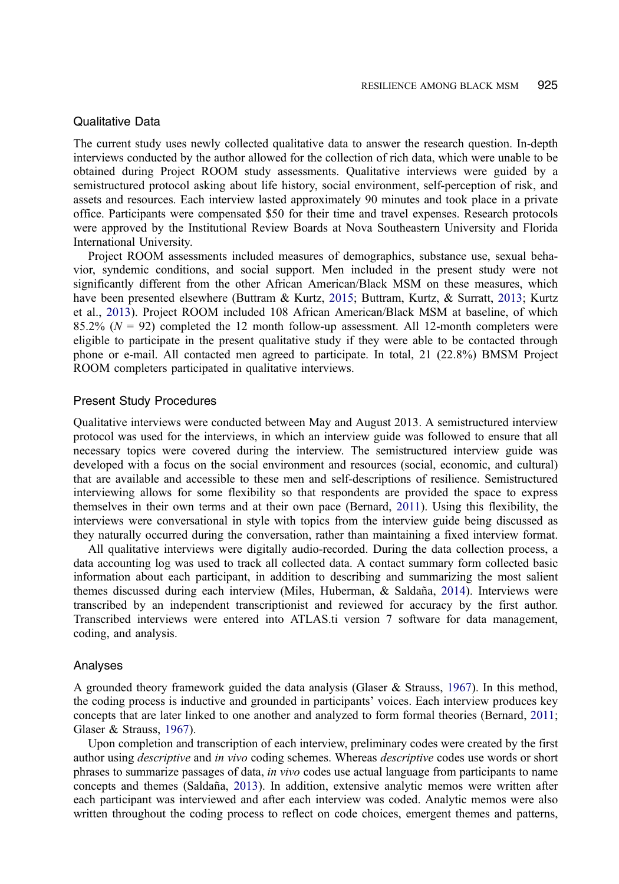#### Qualitative Data

The current study uses newly collected qualitative data to answer the research question. In-depth interviews conducted by the author allowed for the collection of rich data, which were unable to be obtained during Project ROOM study assessments. Qualitative interviews were guided by a semistructured protocol asking about life history, social environment, self-perception of risk, and assets and resources. Each interview lasted approximately 90 minutes and took place in a private office. Participants were compensated \$50 for their time and travel expenses. Research protocols were approved by the Institutional Review Boards at Nova Southeastern University and Florida International University.

Project ROOM assessments included measures of demographics, substance use, sexual behavior, syndemic conditions, and social support. Men included in the present study were not significantly different from the other African American/Black MSM on these measures, which have been presented elsewhere (Buttram & Kurtz, [2015;](#page-11-0) Buttram, Kurtz, & Surratt, [2013](#page-11-0); Kurtz et al., [2013\)](#page-12-0). Project ROOM included 108 African American/Black MSM at baseline, of which 85.2%  $(N = 92)$  completed the 12 month follow-up assessment. All 12-month completers were eligible to participate in the present qualitative study if they were able to be contacted through phone or e-mail. All contacted men agreed to participate. In total, 21 (22.8%) BMSM Project ROOM completers participated in qualitative interviews.

#### Present Study Procedures

Qualitative interviews were conducted between May and August 2013. A semistructured interview protocol was used for the interviews, in which an interview guide was followed to ensure that all necessary topics were covered during the interview. The semistructured interview guide was developed with a focus on the social environment and resources (social, economic, and cultural) that are available and accessible to these men and self-descriptions of resilience. Semistructured interviewing allows for some flexibility so that respondents are provided the space to express themselves in their own terms and at their own pace (Bernard, [2011\)](#page-11-0). Using this flexibility, the interviews were conversational in style with topics from the interview guide being discussed as they naturally occurred during the conversation, rather than maintaining a fixed interview format.

All qualitative interviews were digitally audio-recorded. During the data collection process, a data accounting log was used to track all collected data. A contact summary form collected basic information about each participant, in addition to describing and summarizing the most salient themes discussed during each interview (Miles, Huberman, & Saldaña, [2014](#page-12-0)). Interviews were transcribed by an independent transcriptionist and reviewed for accuracy by the first author. Transcribed interviews were entered into ATLAS.ti version 7 software for data management, coding, and analysis.

#### Analyses

A grounded theory framework guided the data analysis (Glaser & Strauss, [1967](#page-12-0)). In this method, the coding process is inductive and grounded in participants' voices. Each interview produces key concepts that are later linked to one another and analyzed to form formal theories (Bernard, [2011;](#page-11-0) Glaser & Strauss, [1967](#page-12-0)).

Upon completion and transcription of each interview, preliminary codes were created by the first author using descriptive and in vivo coding schemes. Whereas descriptive codes use words or short phrases to summarize passages of data, in vivo codes use actual language from participants to name concepts and themes (Saldaña, [2013](#page-12-0)). In addition, extensive analytic memos were written after each participant was interviewed and after each interview was coded. Analytic memos were also written throughout the coding process to reflect on code choices, emergent themes and patterns,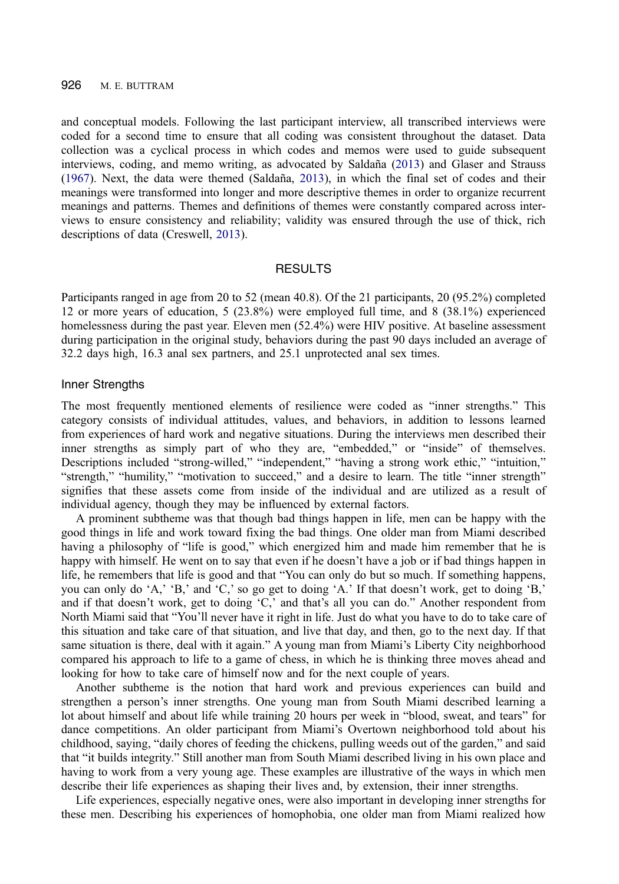and conceptual models. Following the last participant interview, all transcribed interviews were coded for a second time to ensure that all coding was consistent throughout the dataset. Data collection was a cyclical process in which codes and memos were used to guide subsequent interviews, coding, and memo writing, as advocated by Saldaña [\(2013](#page-12-0)) and Glaser and Strauss [\(1967](#page-12-0)). Next, the data were themed (Saldaña, [2013](#page-12-0)), in which the final set of codes and their meanings were transformed into longer and more descriptive themes in order to organize recurrent meanings and patterns. Themes and definitions of themes were constantly compared across interviews to ensure consistency and reliability; validity was ensured through the use of thick, rich descriptions of data (Creswell, [2013](#page-11-0)).

#### RESULTS

Participants ranged in age from 20 to 52 (mean 40.8). Of the 21 participants, 20 (95.2%) completed 12 or more years of education, 5 (23.8%) were employed full time, and 8 (38.1%) experienced homelessness during the past year. Eleven men (52.4%) were HIV positive. At baseline assessment during participation in the original study, behaviors during the past 90 days included an average of 32.2 days high, 16.3 anal sex partners, and 25.1 unprotected anal sex times.

#### Inner Strengths

The most frequently mentioned elements of resilience were coded as "inner strengths." This category consists of individual attitudes, values, and behaviors, in addition to lessons learned from experiences of hard work and negative situations. During the interviews men described their inner strengths as simply part of who they are, "embedded," or "inside" of themselves. Descriptions included "strong-willed," "independent," "having a strong work ethic," "intuition," "strength," "humility," "motivation to succeed," and a desire to learn. The title "inner strength" signifies that these assets come from inside of the individual and are utilized as a result of individual agency, though they may be influenced by external factors.

A prominent subtheme was that though bad things happen in life, men can be happy with the good things in life and work toward fixing the bad things. One older man from Miami described having a philosophy of "life is good," which energized him and made him remember that he is happy with himself. He went on to say that even if he doesn't have a job or if bad things happen in life, he remembers that life is good and that "You can only do but so much. If something happens, you can only do 'A,' 'B,' and 'C,' so go get to doing 'A.' If that doesn't work, get to doing 'B,' and if that doesn't work, get to doing 'C,' and that's all you can do." Another respondent from North Miami said that "You'll never have it right in life. Just do what you have to do to take care of this situation and take care of that situation, and live that day, and then, go to the next day. If that same situation is there, deal with it again." A young man from Miami's Liberty City neighborhood compared his approach to life to a game of chess, in which he is thinking three moves ahead and looking for how to take care of himself now and for the next couple of years.

Another subtheme is the notion that hard work and previous experiences can build and strengthen a person's inner strengths. One young man from South Miami described learning a lot about himself and about life while training 20 hours per week in "blood, sweat, and tears" for dance competitions. An older participant from Miami's Overtown neighborhood told about his childhood, saying, "daily chores of feeding the chickens, pulling weeds out of the garden," and said that "it builds integrity." Still another man from South Miami described living in his own place and having to work from a very young age. These examples are illustrative of the ways in which men describe their life experiences as shaping their lives and, by extension, their inner strengths.

Life experiences, especially negative ones, were also important in developing inner strengths for these men. Describing his experiences of homophobia, one older man from Miami realized how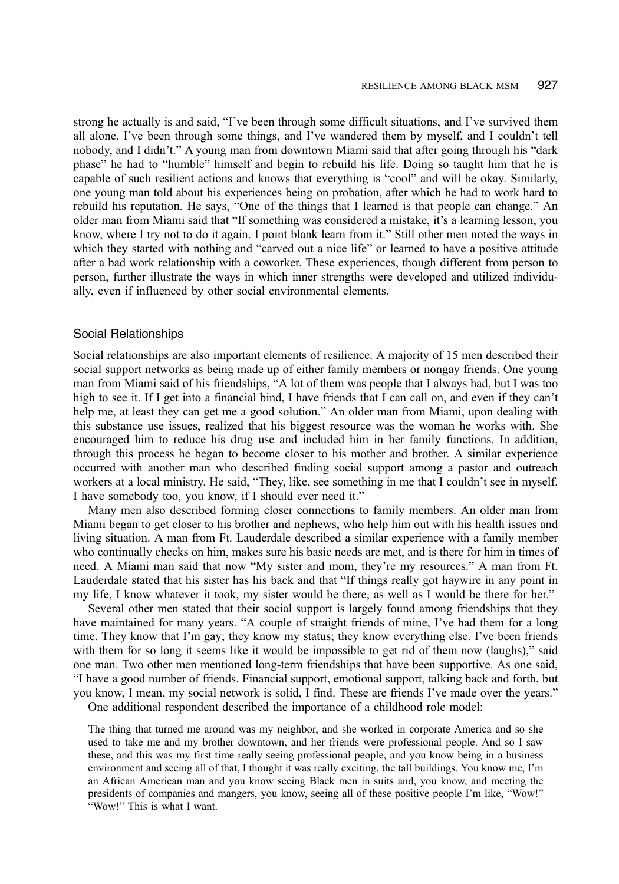strong he actually is and said, "I've been through some difficult situations, and I've survived them all alone. I've been through some things, and I've wandered them by myself, and I couldn't tell nobody, and I didn't." A young man from downtown Miami said that after going through his "dark phase" he had to "humble" himself and begin to rebuild his life. Doing so taught him that he is capable of such resilient actions and knows that everything is "cool" and will be okay. Similarly, one young man told about his experiences being on probation, after which he had to work hard to rebuild his reputation. He says, "One of the things that I learned is that people can change." An older man from Miami said that "If something was considered a mistake, it's a learning lesson, you know, where I try not to do it again. I point blank learn from it." Still other men noted the ways in which they started with nothing and "carved out a nice life" or learned to have a positive attitude after a bad work relationship with a coworker. These experiences, though different from person to person, further illustrate the ways in which inner strengths were developed and utilized individually, even if influenced by other social environmental elements.

#### Social Relationships

Social relationships are also important elements of resilience. A majority of 15 men described their social support networks as being made up of either family members or nongay friends. One young man from Miami said of his friendships, "A lot of them was people that I always had, but I was too high to see it. If I get into a financial bind, I have friends that I can call on, and even if they can't help me, at least they can get me a good solution." An older man from Miami, upon dealing with this substance use issues, realized that his biggest resource was the woman he works with. She encouraged him to reduce his drug use and included him in her family functions. In addition, through this process he began to become closer to his mother and brother. A similar experience occurred with another man who described finding social support among a pastor and outreach workers at a local ministry. He said, "They, like, see something in me that I couldn't see in myself. I have somebody too, you know, if I should ever need it."

Many men also described forming closer connections to family members. An older man from Miami began to get closer to his brother and nephews, who help him out with his health issues and living situation. A man from Ft. Lauderdale described a similar experience with a family member who continually checks on him, makes sure his basic needs are met, and is there for him in times of need. A Miami man said that now "My sister and mom, they're my resources." A man from Ft. Lauderdale stated that his sister has his back and that "If things really got haywire in any point in my life, I know whatever it took, my sister would be there, as well as I would be there for her."

Several other men stated that their social support is largely found among friendships that they have maintained for many years. "A couple of straight friends of mine, I've had them for a long time. They know that I'm gay; they know my status; they know everything else. I've been friends with them for so long it seems like it would be impossible to get rid of them now (laughs)," said one man. Two other men mentioned long-term friendships that have been supportive. As one said, "I have a good number of friends. Financial support, emotional support, talking back and forth, but you know, I mean, my social network is solid, I find. These are friends I've made over the years."

One additional respondent described the importance of a childhood role model:

The thing that turned me around was my neighbor, and she worked in corporate America and so she used to take me and my brother downtown, and her friends were professional people. And so I saw these, and this was my first time really seeing professional people, and you know being in a business environment and seeing all of that, I thought it was really exciting, the tall buildings. You know me, I'm an African American man and you know seeing Black men in suits and, you know, and meeting the presidents of companies and mangers, you know, seeing all of these positive people I'm like, "Wow!" "Wow!" This is what I want.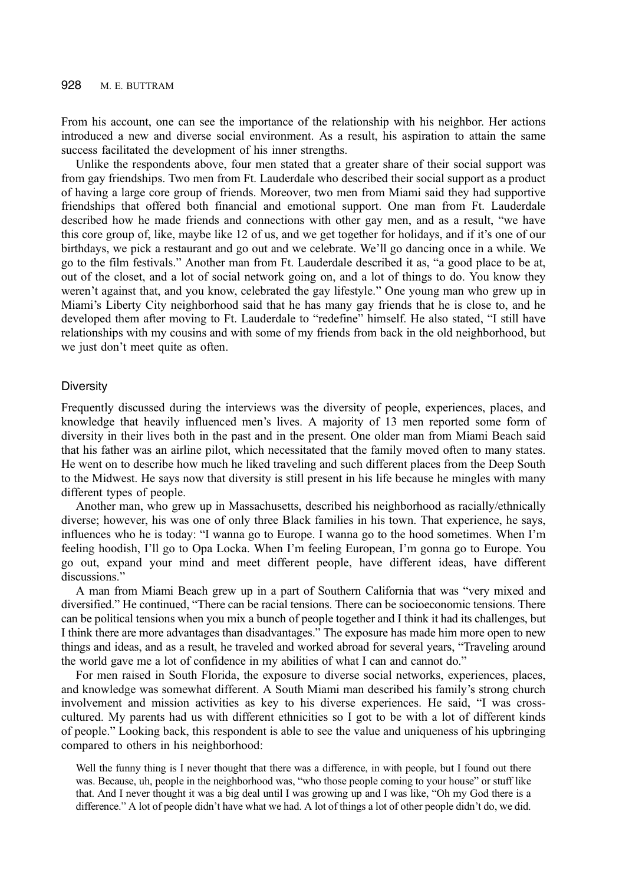From his account, one can see the importance of the relationship with his neighbor. Her actions introduced a new and diverse social environment. As a result, his aspiration to attain the same success facilitated the development of his inner strengths.

Unlike the respondents above, four men stated that a greater share of their social support was from gay friendships. Two men from Ft. Lauderdale who described their social support as a product of having a large core group of friends. Moreover, two men from Miami said they had supportive friendships that offered both financial and emotional support. One man from Ft. Lauderdale described how he made friends and connections with other gay men, and as a result, "we have this core group of, like, maybe like 12 of us, and we get together for holidays, and if it's one of our birthdays, we pick a restaurant and go out and we celebrate. We'll go dancing once in a while. We go to the film festivals." Another man from Ft. Lauderdale described it as, "a good place to be at, out of the closet, and a lot of social network going on, and a lot of things to do. You know they weren't against that, and you know, celebrated the gay lifestyle." One young man who grew up in Miami's Liberty City neighborhood said that he has many gay friends that he is close to, and he developed them after moving to Ft. Lauderdale to "redefine" himself. He also stated, "I still have relationships with my cousins and with some of my friends from back in the old neighborhood, but we just don't meet quite as often.

#### **Diversity**

Frequently discussed during the interviews was the diversity of people, experiences, places, and knowledge that heavily influenced men's lives. A majority of 13 men reported some form of diversity in their lives both in the past and in the present. One older man from Miami Beach said that his father was an airline pilot, which necessitated that the family moved often to many states. He went on to describe how much he liked traveling and such different places from the Deep South to the Midwest. He says now that diversity is still present in his life because he mingles with many different types of people.

Another man, who grew up in Massachusetts, described his neighborhood as racially/ethnically diverse; however, his was one of only three Black families in his town. That experience, he says, influences who he is today: "I wanna go to Europe. I wanna go to the hood sometimes. When I'm feeling hoodish, I'll go to Opa Locka. When I'm feeling European, I'm gonna go to Europe. You go out, expand your mind and meet different people, have different ideas, have different discussions."

A man from Miami Beach grew up in a part of Southern California that was "very mixed and diversified." He continued, "There can be racial tensions. There can be socioeconomic tensions. There can be political tensions when you mix a bunch of people together and I think it had its challenges, but I think there are more advantages than disadvantages." The exposure has made him more open to new things and ideas, and as a result, he traveled and worked abroad for several years, "Traveling around the world gave me a lot of confidence in my abilities of what I can and cannot do."

For men raised in South Florida, the exposure to diverse social networks, experiences, places, and knowledge was somewhat different. A South Miami man described his family's strong church involvement and mission activities as key to his diverse experiences. He said, "I was crosscultured. My parents had us with different ethnicities so I got to be with a lot of different kinds of people." Looking back, this respondent is able to see the value and uniqueness of his upbringing compared to others in his neighborhood:

Well the funny thing is I never thought that there was a difference, in with people, but I found out there was. Because, uh, people in the neighborhood was, "who those people coming to your house" or stuff like that. And I never thought it was a big deal until I was growing up and I was like, "Oh my God there is a difference." A lot of people didn't have what we had. A lot of things a lot of other people didn't do, we did.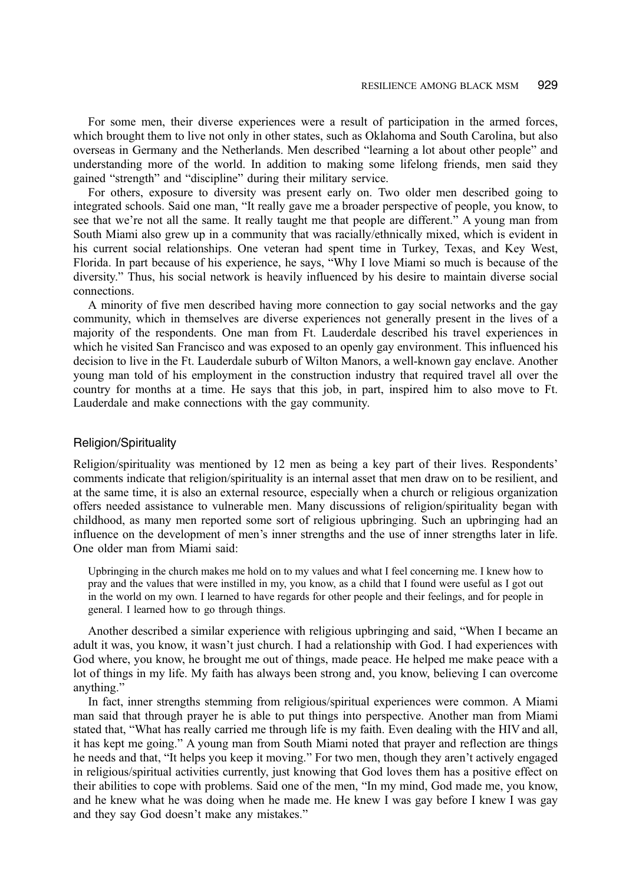For some men, their diverse experiences were a result of participation in the armed forces, which brought them to live not only in other states, such as Oklahoma and South Carolina, but also overseas in Germany and the Netherlands. Men described "learning a lot about other people" and understanding more of the world. In addition to making some lifelong friends, men said they gained "strength" and "discipline" during their military service.

For others, exposure to diversity was present early on. Two older men described going to integrated schools. Said one man, "It really gave me a broader perspective of people, you know, to see that we're not all the same. It really taught me that people are different." A young man from South Miami also grew up in a community that was racially/ethnically mixed, which is evident in his current social relationships. One veteran had spent time in Turkey, Texas, and Key West, Florida. In part because of his experience, he says, "Why I love Miami so much is because of the diversity." Thus, his social network is heavily influenced by his desire to maintain diverse social connections.

A minority of five men described having more connection to gay social networks and the gay community, which in themselves are diverse experiences not generally present in the lives of a majority of the respondents. One man from Ft. Lauderdale described his travel experiences in which he visited San Francisco and was exposed to an openly gay environment. This influenced his decision to live in the Ft. Lauderdale suburb of Wilton Manors, a well-known gay enclave. Another young man told of his employment in the construction industry that required travel all over the country for months at a time. He says that this job, in part, inspired him to also move to Ft. Lauderdale and make connections with the gay community.

#### Religion/Spirituality

Religion/spirituality was mentioned by 12 men as being a key part of their lives. Respondents' comments indicate that religion/spirituality is an internal asset that men draw on to be resilient, and at the same time, it is also an external resource, especially when a church or religious organization offers needed assistance to vulnerable men. Many discussions of religion/spirituality began with childhood, as many men reported some sort of religious upbringing. Such an upbringing had an influence on the development of men's inner strengths and the use of inner strengths later in life. One older man from Miami said:

Upbringing in the church makes me hold on to my values and what I feel concerning me. I knew how to pray and the values that were instilled in my, you know, as a child that I found were useful as I got out in the world on my own. I learned to have regards for other people and their feelings, and for people in general. I learned how to go through things.

Another described a similar experience with religious upbringing and said, "When I became an adult it was, you know, it wasn't just church. I had a relationship with God. I had experiences with God where, you know, he brought me out of things, made peace. He helped me make peace with a lot of things in my life. My faith has always been strong and, you know, believing I can overcome anything."

In fact, inner strengths stemming from religious/spiritual experiences were common. A Miami man said that through prayer he is able to put things into perspective. Another man from Miami stated that, "What has really carried me through life is my faith. Even dealing with the HIV and all, it has kept me going." A young man from South Miami noted that prayer and reflection are things he needs and that, "It helps you keep it moving." For two men, though they aren't actively engaged in religious/spiritual activities currently, just knowing that God loves them has a positive effect on their abilities to cope with problems. Said one of the men, "In my mind, God made me, you know, and he knew what he was doing when he made me. He knew I was gay before I knew I was gay and they say God doesn't make any mistakes."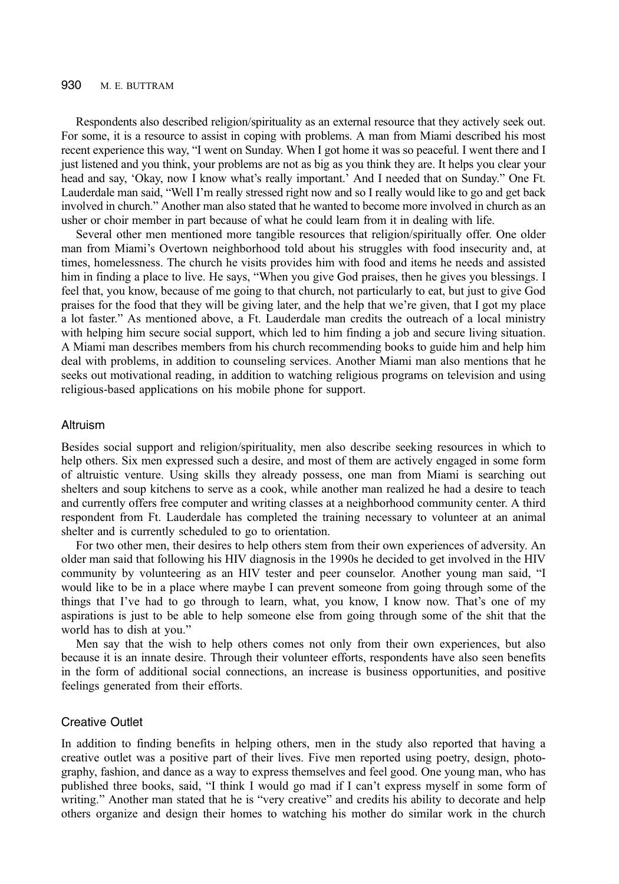Respondents also described religion/spirituality as an external resource that they actively seek out. For some, it is a resource to assist in coping with problems. A man from Miami described his most recent experience this way, "I went on Sunday. When I got home it was so peaceful. I went there and I just listened and you think, your problems are not as big as you think they are. It helps you clear your head and say, 'Okay, now I know what's really important.' And I needed that on Sunday." One Ft. Lauderdale man said, "Well I'm really stressed right now and so I really would like to go and get back involved in church." Another man also stated that he wanted to become more involved in church as an usher or choir member in part because of what he could learn from it in dealing with life.

Several other men mentioned more tangible resources that religion/spiritually offer. One older man from Miami's Overtown neighborhood told about his struggles with food insecurity and, at times, homelessness. The church he visits provides him with food and items he needs and assisted him in finding a place to live. He says, "When you give God praises, then he gives you blessings. I feel that, you know, because of me going to that church, not particularly to eat, but just to give God praises for the food that they will be giving later, and the help that we're given, that I got my place a lot faster." As mentioned above, a Ft. Lauderdale man credits the outreach of a local ministry with helping him secure social support, which led to him finding a job and secure living situation. A Miami man describes members from his church recommending books to guide him and help him deal with problems, in addition to counseling services. Another Miami man also mentions that he seeks out motivational reading, in addition to watching religious programs on television and using religious-based applications on his mobile phone for support.

#### Altruism

Besides social support and religion/spirituality, men also describe seeking resources in which to help others. Six men expressed such a desire, and most of them are actively engaged in some form of altruistic venture. Using skills they already possess, one man from Miami is searching out shelters and soup kitchens to serve as a cook, while another man realized he had a desire to teach and currently offers free computer and writing classes at a neighborhood community center. A third respondent from Ft. Lauderdale has completed the training necessary to volunteer at an animal shelter and is currently scheduled to go to orientation.

For two other men, their desires to help others stem from their own experiences of adversity. An older man said that following his HIV diagnosis in the 1990s he decided to get involved in the HIV community by volunteering as an HIV tester and peer counselor. Another young man said, "I would like to be in a place where maybe I can prevent someone from going through some of the things that I've had to go through to learn, what, you know, I know now. That's one of my aspirations is just to be able to help someone else from going through some of the shit that the world has to dish at you."

Men say that the wish to help others comes not only from their own experiences, but also because it is an innate desire. Through their volunteer efforts, respondents have also seen benefits in the form of additional social connections, an increase is business opportunities, and positive feelings generated from their efforts.

#### Creative Outlet

In addition to finding benefits in helping others, men in the study also reported that having a creative outlet was a positive part of their lives. Five men reported using poetry, design, photography, fashion, and dance as a way to express themselves and feel good. One young man, who has published three books, said, "I think I would go mad if I can't express myself in some form of writing." Another man stated that he is "very creative" and credits his ability to decorate and help others organize and design their homes to watching his mother do similar work in the church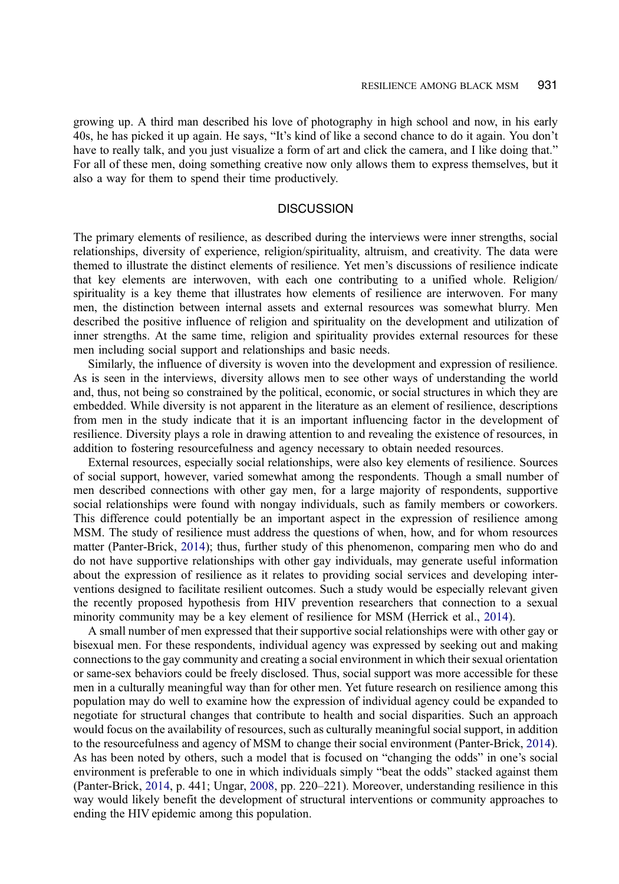growing up. A third man described his love of photography in high school and now, in his early 40s, he has picked it up again. He says, "It's kind of like a second chance to do it again. You don't have to really talk, and you just visualize a form of art and click the camera, and I like doing that." For all of these men, doing something creative now only allows them to express themselves, but it also a way for them to spend their time productively.

#### **DISCUSSION**

The primary elements of resilience, as described during the interviews were inner strengths, social relationships, diversity of experience, religion/spirituality, altruism, and creativity. The data were themed to illustrate the distinct elements of resilience. Yet men's discussions of resilience indicate that key elements are interwoven, with each one contributing to a unified whole. Religion/ spirituality is a key theme that illustrates how elements of resilience are interwoven. For many men, the distinction between internal assets and external resources was somewhat blurry. Men described the positive influence of religion and spirituality on the development and utilization of inner strengths. At the same time, religion and spirituality provides external resources for these men including social support and relationships and basic needs.

Similarly, the influence of diversity is woven into the development and expression of resilience. As is seen in the interviews, diversity allows men to see other ways of understanding the world and, thus, not being so constrained by the political, economic, or social structures in which they are embedded. While diversity is not apparent in the literature as an element of resilience, descriptions from men in the study indicate that it is an important influencing factor in the development of resilience. Diversity plays a role in drawing attention to and revealing the existence of resources, in addition to fostering resourcefulness and agency necessary to obtain needed resources.

External resources, especially social relationships, were also key elements of resilience. Sources of social support, however, varied somewhat among the respondents. Though a small number of men described connections with other gay men, for a large majority of respondents, supportive social relationships were found with nongay individuals, such as family members or coworkers. This difference could potentially be an important aspect in the expression of resilience among MSM. The study of resilience must address the questions of when, how, and for whom resources matter (Panter-Brick, [2014](#page-12-0)); thus, further study of this phenomenon, comparing men who do and do not have supportive relationships with other gay individuals, may generate useful information about the expression of resilience as it relates to providing social services and developing interventions designed to facilitate resilient outcomes. Such a study would be especially relevant given the recently proposed hypothesis from HIV prevention researchers that connection to a sexual minority community may be a key element of resilience for MSM (Herrick et al., [2014](#page-12-0)).

A small number of men expressed that their supportive social relationships were with other gay or bisexual men. For these respondents, individual agency was expressed by seeking out and making connections to the gay community and creating a social environment in which their sexual orientation or same-sex behaviors could be freely disclosed. Thus, social support was more accessible for these men in a culturally meaningful way than for other men. Yet future research on resilience among this population may do well to examine how the expression of individual agency could be expanded to negotiate for structural changes that contribute to health and social disparities. Such an approach would focus on the availability of resources, such as culturally meaningful social support, in addition to the resourcefulness and agency of MSM to change their social environment (Panter-Brick, [2014\)](#page-12-0). As has been noted by others, such a model that is focused on "changing the odds" in one's social environment is preferable to one in which individuals simply "beat the odds" stacked against them (Panter-Brick, [2014](#page-12-0), p. 441; Ungar, [2008](#page-12-0), pp. 220–221). Moreover, understanding resilience in this way would likely benefit the development of structural interventions or community approaches to ending the HIV epidemic among this population.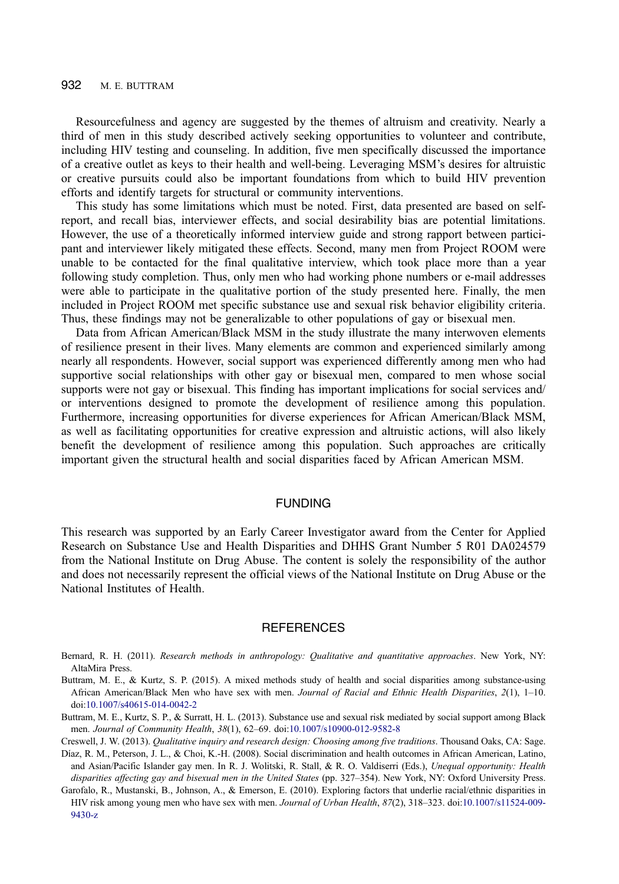<span id="page-11-0"></span>Resourcefulness and agency are suggested by the themes of altruism and creativity. Nearly a third of men in this study described actively seeking opportunities to volunteer and contribute, including HIV testing and counseling. In addition, five men specifically discussed the importance of a creative outlet as keys to their health and well-being. Leveraging MSM's desires for altruistic or creative pursuits could also be important foundations from which to build HIV prevention efforts and identify targets for structural or community interventions.

This study has some limitations which must be noted. First, data presented are based on selfreport, and recall bias, interviewer effects, and social desirability bias are potential limitations. However, the use of a theoretically informed interview guide and strong rapport between participant and interviewer likely mitigated these effects. Second, many men from Project ROOM were unable to be contacted for the final qualitative interview, which took place more than a year following study completion. Thus, only men who had working phone numbers or e-mail addresses were able to participate in the qualitative portion of the study presented here. Finally, the men included in Project ROOM met specific substance use and sexual risk behavior eligibility criteria. Thus, these findings may not be generalizable to other populations of gay or bisexual men.

Data from African American/Black MSM in the study illustrate the many interwoven elements of resilience present in their lives. Many elements are common and experienced similarly among nearly all respondents. However, social support was experienced differently among men who had supportive social relationships with other gay or bisexual men, compared to men whose social supports were not gay or bisexual. This finding has important implications for social services and/ or interventions designed to promote the development of resilience among this population. Furthermore, increasing opportunities for diverse experiences for African American/Black MSM, as well as facilitating opportunities for creative expression and altruistic actions, will also likely benefit the development of resilience among this population. Such approaches are critically important given the structural health and social disparities faced by African American MSM.

#### FUNDING

This research was supported by an Early Career Investigator award from the Center for Applied Research on Substance Use and Health Disparities and DHHS Grant Number 5 R01 DA024579 from the National Institute on Drug Abuse. The content is solely the responsibility of the author and does not necessarily represent the official views of the National Institute on Drug Abuse or the National Institutes of Health.

#### **REFERENCES**

- Bernard, R. H. (2011). Research methods in anthropology: Qualitative and quantitative approaches. New York, NY: AltaMira Press.
- Buttram, M. E., & Kurtz, S. P. (2015). A mixed methods study of health and social disparities among substance-using African American/Black Men who have sex with men. Journal of Racial and Ethnic Health Disparities, 2(1), 1-10. doi[:10.1007/s40615-014-0042-2](http://dx.doi.org/10.1007/s40615-014-0042-2)
- Buttram, M. E., Kurtz, S. P., & Surratt, H. L. (2013). Substance use and sexual risk mediated by social support among Black men. Journal of Community Health, 38(1), 62–69. doi[:10.1007/s10900-012-9582-8](http://dx.doi.org/10.1007/s10900-012-9582-8)
- Creswell, J. W. (2013). Qualitative inquiry and research design: Choosing among five traditions. Thousand Oaks, CA: Sage. Díaz, R. M., Peterson, J. L., & Choi, K.-H. (2008). Social discrimination and health outcomes in African American, Latino,
- and Asian/Pacific Islander gay men. In R. J. Wolitski, R. Stall, & R. O. Valdiserri (Eds.), Unequal opportunity: Health disparities affecting gay and bisexual men in the United States (pp. 327-354). New York, NY: Oxford University Press.
- Garofalo, R., Mustanski, B., Johnson, A., & Emerson, E. (2010). Exploring factors that underlie racial/ethnic disparities in HIV risk among young men who have sex with men. Journal of Urban Health, 87(2), 318–323. doi:[10.1007/s11524-009-](http://dx.doi.org/10.1007/s11524-009-9430-z) [9430-z](http://dx.doi.org/10.1007/s11524-009-9430-z)